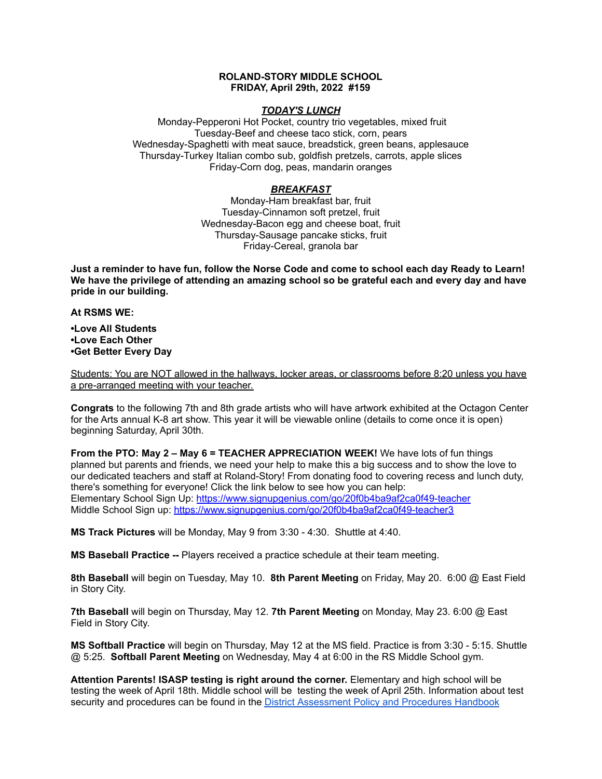## **ROLAND-STORY MIDDLE SCHOOL FRIDAY, April 29th, 2022 #159**

## *TODAY'S LUNCH*

Monday-Pepperoni Hot Pocket, country trio vegetables, mixed fruit Tuesday-Beef and cheese taco stick, corn, pears Wednesday-Spaghetti with meat sauce, breadstick, green beans, applesauce Thursday-Turkey Italian combo sub, goldfish pretzels, carrots, apple slices Friday-Corn dog, peas, mandarin oranges

## *BREAKFAST*

Monday-Ham breakfast bar, fruit Tuesday-Cinnamon soft pretzel, fruit Wednesday-Bacon egg and cheese boat, fruit Thursday-Sausage pancake sticks, fruit Friday-Cereal, granola bar

Just a reminder to have fun, follow the Norse Code and come to school each day Ready to Learn! **We have the privilege of attending an amazing school so be grateful each and every day and have pride in our building.**

**At RSMS WE:**

**•Love All Students •Love Each Other •Get Better Every Day**

Students: You are NOT allowed in the hallways, locker areas, or classrooms before 8:20 unless you have a pre-arranged meeting with your teacher.

**Congrats** to the following 7th and 8th grade artists who will have artwork exhibited at the Octagon Center for the Arts annual K-8 art show. This year it will be viewable online (details to come once it is open) beginning Saturday, April 30th.

**From the PTO: May 2 – May 6 = TEACHER APPRECIATION WEEK!** We have lots of fun things planned but parents and friends, we need your help to make this a big success and to show the love to our dedicated teachers and staff at Roland-Story! From donating food to covering recess and lunch duty, there's something for everyone! Click the link below to see how you can help: Elementary School Sign Up: <https://www.signupgenius.com/go/20f0b4ba9af2ca0f49-teacher> Middle School Sign up: <https://www.signupgenius.com/go/20f0b4ba9af2ca0f49-teacher3>

**MS Track Pictures** will be Monday, May 9 from 3:30 - 4:30. Shuttle at 4:40.

**MS Baseball Practice --** Players received a practice schedule at their team meeting.

**8th Baseball** will begin on Tuesday, May 10. **8th Parent Meeting** on Friday, May 20. 6:00 @ East Field in Story City.

**7th Baseball** will begin on Thursday, May 12. **7th Parent Meeting** on Monday, May 23. 6:00 @ East Field in Story City.

**MS Softball Practice** will begin on Thursday, May 12 at the MS field. Practice is from 3:30 - 5:15. Shuttle @ 5:25. **Softball Parent Meeting** on Wednesday, May 4 at 6:00 in the RS Middle School gym.

**Attention Parents! ISASP testing is right around the corner.** Elementary and high school will be testing the week of April 18th. Middle school will be testing the week of April 25th. Information about test security and procedures can be found in the District [Assessment](https://rolandstory.school/media/Michelle%20Soderstrum/RSCSD_District_Assessment_Poli%20-%20Copy%203.pdf) Policy and Procedures Handbook